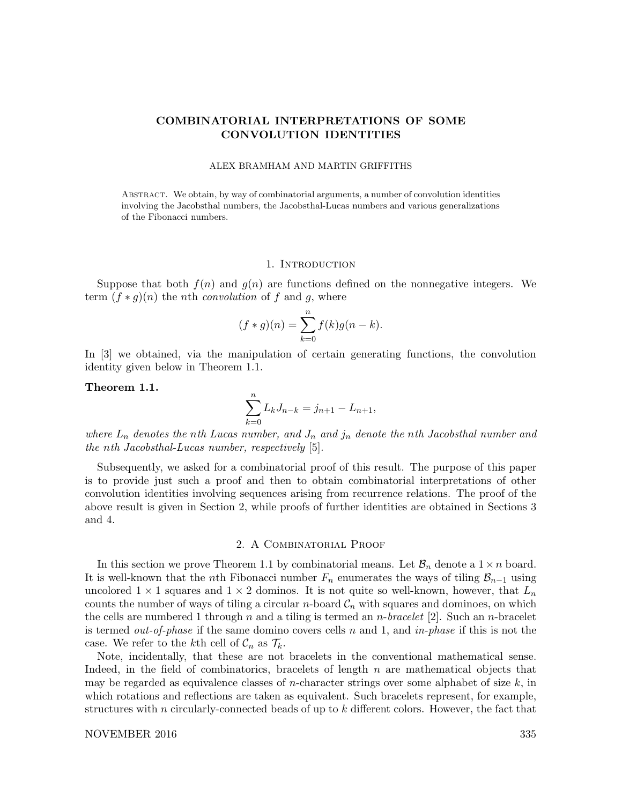# COMBINATORIAL INTERPRETATIONS OF SOME CONVOLUTION IDENTITIES

#### ALEX BRAMHAM AND MARTIN GRIFFITHS

Abstract. We obtain, by way of combinatorial arguments, a number of convolution identities involving the Jacobsthal numbers, the Jacobsthal-Lucas numbers and various generalizations of the Fibonacci numbers.

### 1. INTRODUCTION

Suppose that both  $f(n)$  and  $g(n)$  are functions defined on the nonnegative integers. We term  $(f * g)(n)$  the *n*th *convolution* of f and g, where

$$
(f * g)(n) = \sum_{k=0}^{n} f(k)g(n-k).
$$

In [3] we obtained, via the manipulation of certain generating functions, the convolution identity given below in Theorem 1.1.

## Theorem 1.1.

$$
\sum_{k=0}^{n} L_{k} J_{n-k} = j_{n+1} - L_{n+1},
$$

where  $L_n$  denotes the nth Lucas number, and  $J_n$  and  $j_n$  denote the nth Jacobsthal number and the nth Jacobsthal-Lucas number, respectively [5].

Subsequently, we asked for a combinatorial proof of this result. The purpose of this paper is to provide just such a proof and then to obtain combinatorial interpretations of other convolution identities involving sequences arising from recurrence relations. The proof of the above result is given in Section 2, while proofs of further identities are obtained in Sections 3 and 4.

# 2. A Combinatorial Proof

In this section we prove Theorem 1.1 by combinatorial means. Let  $\mathcal{B}_n$  denote a  $1 \times n$  board. It is well-known that the *n*th Fibonacci number  $F_n$  enumerates the ways of tiling  $\mathcal{B}_{n-1}$  using uncolored  $1 \times 1$  squares and  $1 \times 2$  dominos. It is not quite so well-known, however, that  $L_n$ counts the number of ways of tiling a circular *n*-board  $C_n$  with squares and dominoes, on which the cells are numbered 1 through n and a tiling is termed an n-bracelet [2]. Such an n-bracelet is termed *out-of-phase* if the same domino covers cells n and 1, and in-phase if this is not the case. We refer to the kth cell of  $C_n$  as  $\mathcal{T}_k$ .

Note, incidentally, that these are not bracelets in the conventional mathematical sense. Indeed, in the field of combinatorics, bracelets of length n are mathematical objects that may be regarded as equivalence classes of *n*-character strings over some alphabet of size  $k$ , in which rotations and reflections are taken as equivalent. Such bracelets represent, for example, structures with n circularly-connected beads of up to  $k$  different colors. However, the fact that

## NOVEMBER 2016 335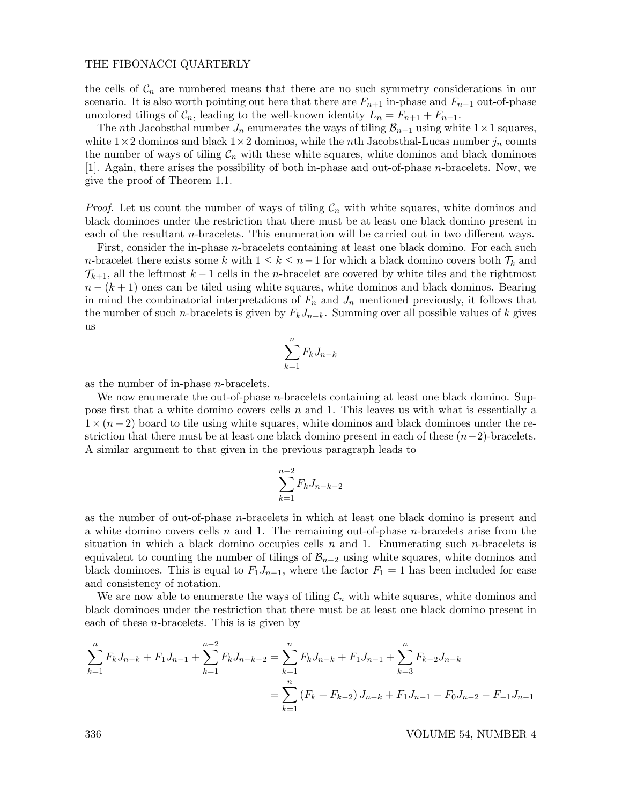### THE FIBONACCI QUARTERLY

the cells of  $C_n$  are numbered means that there are no such symmetry considerations in our scenario. It is also worth pointing out here that there are  $F_{n+1}$  in-phase and  $F_{n-1}$  out-of-phase uncolored tilings of  $\mathcal{C}_n$ , leading to the well-known identity  $L_n = F_{n+1} + F_{n-1}$ .

The nth Jacobsthal number  $J_n$  enumerates the ways of tiling  $\mathcal{B}_{n-1}$  using white 1×1 squares, white  $1\times 2$  dominos and black  $1\times 2$  dominos, while the nth Jacobsthal-Lucas number  $j_n$  counts the number of ways of tiling  $\mathcal{C}_n$  with these white squares, white dominos and black dominoes [1]. Again, there arises the possibility of both in-phase and out-of-phase n-bracelets. Now, we give the proof of Theorem 1.1.

*Proof.* Let us count the number of ways of tiling  $C_n$  with white squares, white dominos and black dominoes under the restriction that there must be at least one black domino present in each of the resultant n-bracelets. This enumeration will be carried out in two different ways.

First, consider the in-phase n-bracelets containing at least one black domino. For each such n-bracelet there exists some k with  $1 \leq k \leq n-1$  for which a black domino covers both  $\mathcal{T}_k$  and  $\mathcal{T}_{k+1}$ , all the leftmost  $k-1$  cells in the *n*-bracelet are covered by white tiles and the rightmost  $n - (k + 1)$  ones can be tiled using white squares, white dominos and black dominos. Bearing in mind the combinatorial interpretations of  $F_n$  and  $J_n$  mentioned previously, it follows that the number of such n-bracelets is given by  $F_kJ_{n-k}$ . Summing over all possible values of k gives us

$$
\sum_{k=1}^{n} F_k J_{n-k}
$$

as the number of in-phase n-bracelets.

We now enumerate the out-of-phase *n*-bracelets containing at least one black domino. Suppose first that a white domino covers cells  $n$  and 1. This leaves us with what is essentially a  $1 \times (n-2)$  board to tile using white squares, white dominos and black dominoes under the restriction that there must be at least one black domino present in each of these  $(n-2)$ -bracelets. A similar argument to that given in the previous paragraph leads to

$$
\sum_{k=1}^{n-2} F_k J_{n-k-2}
$$

as the number of out-of-phase n-bracelets in which at least one black domino is present and a white domino covers cells n and 1. The remaining out-of-phase  $n$ -bracelets arise from the situation in which a black domino occupies cells  $n$  and 1. Enumerating such n-bracelets is equivalent to counting the number of tilings of  $\mathcal{B}_{n-2}$  using white squares, white dominos and black dominoes. This is equal to  $F_1J_{n-1}$ , where the factor  $F_1 = 1$  has been included for ease and consistency of notation.

We are now able to enumerate the ways of tiling  $C_n$  with white squares, white dominos and black dominoes under the restriction that there must be at least one black domino present in each of these  $n$ -bracelets. This is given by

$$
\sum_{k=1}^{n} F_k J_{n-k} + F_1 J_{n-1} + \sum_{k=1}^{n-2} F_k J_{n-k-2} = \sum_{k=1}^{n} F_k J_{n-k} + F_1 J_{n-1} + \sum_{k=3}^{n} F_{k-2} J_{n-k}
$$

$$
= \sum_{k=1}^{n} (F_k + F_{k-2}) J_{n-k} + F_1 J_{n-1} - F_0 J_{n-2} - F_{-1} J_{n-1}
$$

336 VOLUME 54, NUMBER 4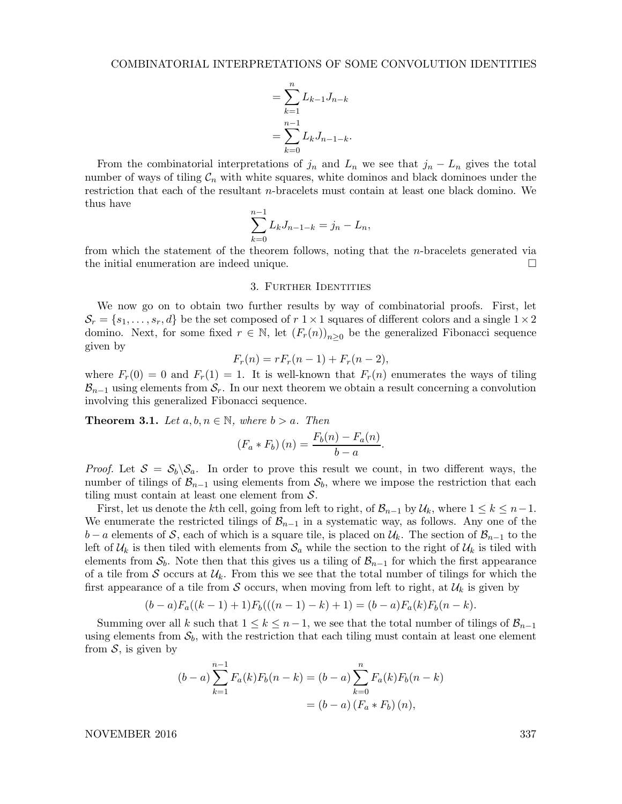$$
= \sum_{k=1}^{n} L_{k-1} J_{n-k}
$$
  
= 
$$
\sum_{k=0}^{n-1} L_{k} J_{n-1-k}.
$$

From the combinatorial interpretations of  $j_n$  and  $L_n$  we see that  $j_n - L_n$  gives the total number of ways of tiling  $C_n$  with white squares, white dominos and black dominoes under the restriction that each of the resultant n-bracelets must contain at least one black domino. We thus have

$$
\sum_{k=0}^{n-1} L_k J_{n-1-k} = j_n - L_n,
$$

from which the statement of the theorem follows, noting that the n-bracelets generated via the initial enumeration are indeed unique.

#### 3. Further Identities

We now go on to obtain two further results by way of combinatorial proofs. First, let  $\mathcal{S}_r = \{s_1, \ldots, s_r, d\}$  be the set composed of  $r \ge 1 \times 1$  squares of different colors and a single  $1 \times 2$ domino. Next, for some fixed  $r \in \mathbb{N}$ , let  $(F_r(n))_{n\geq 0}$  be the generalized Fibonacci sequence given by

$$
F_r(n) = rF_r(n-1) + F_r(n-2),
$$

where  $F_r(0) = 0$  and  $F_r(1) = 1$ . It is well-known that  $F_r(n)$  enumerates the ways of tiling  $\mathcal{B}_{n-1}$  using elements from  $\mathcal{S}_r$ . In our next theorem we obtain a result concerning a convolution involving this generalized Fibonacci sequence.

**Theorem 3.1.** Let  $a, b, n \in \mathbb{N}$ , where  $b > a$ . Then

$$
(F_a * F_b)(n) = \frac{F_b(n) - F_a(n)}{b - a}.
$$

*Proof.* Let  $S = S_b \setminus S_a$ . In order to prove this result we count, in two different ways, the number of tilings of  $\mathcal{B}_{n-1}$  using elements from  $\mathcal{S}_b$ , where we impose the restriction that each tiling must contain at least one element from  $S$ .

First, let us denote the kth cell, going from left to right, of  $\mathcal{B}_{n-1}$  by  $\mathcal{U}_k$ , where  $1 \leq k \leq n-1$ . We enumerate the restricted tilings of  $\mathcal{B}_{n-1}$  in a systematic way, as follows. Any one of the  $b-a$  elements of S, each of which is a square tile, is placed on  $\mathcal{U}_k$ . The section of  $\mathcal{B}_{n-1}$  to the left of  $\mathcal{U}_k$  is then tiled with elements from  $\mathcal{S}_a$  while the section to the right of  $\mathcal{U}_k$  is tiled with elements from  $S_b$ . Note then that this gives us a tiling of  $\mathcal{B}_{n-1}$  for which the first appearance of a tile from S occurs at  $\mathcal{U}_k$ . From this we see that the total number of tilings for which the first appearance of a tile from S occurs, when moving from left to right, at  $\mathcal{U}_k$  is given by

$$
(b-a)F_a((k-1)+1)F_b(((n-1)-k)+1)=(b-a)F_a(k)F_b(n-k).
$$

Summing over all k such that  $1 \leq k \leq n-1$ , we see that the total number of tilings of  $\mathcal{B}_{n-1}$ using elements from  $S_b$ , with the restriction that each tiling must contain at least one element from  $S$ , is given by

$$
(b-a)\sum_{k=1}^{n-1} F_a(k)F_b(n-k) = (b-a)\sum_{k=0}^{n} F_a(k)F_b(n-k)
$$

$$
= (b-a)\left(F_a * F_b\right)(n),
$$

NOVEMBER 2016 337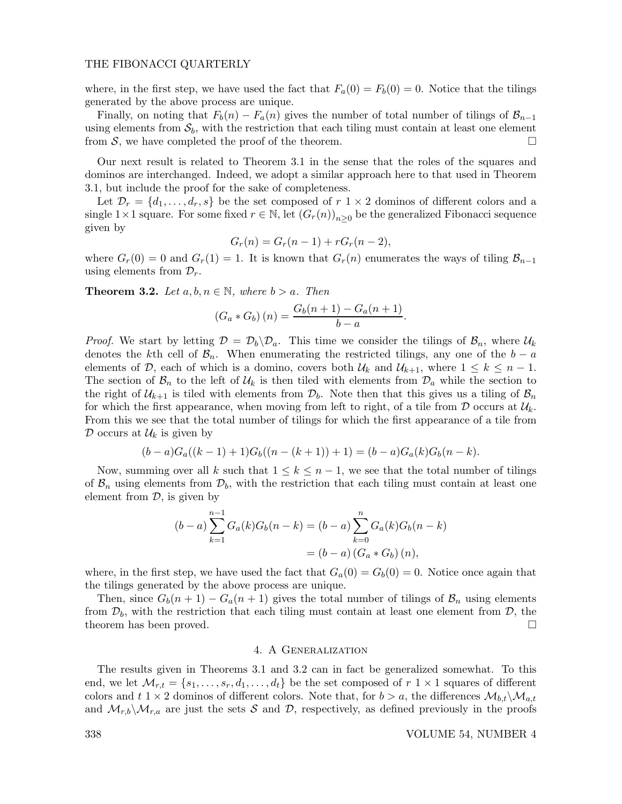## THE FIBONACCI QUARTERLY

where, in the first step, we have used the fact that  $F_a(0) = F_b(0) = 0$ . Notice that the tilings generated by the above process are unique.

Finally, on noting that  $F_b(n) - F_a(n)$  gives the number of total number of tilings of  $\mathcal{B}_{n-1}$ using elements from  $S_b$ , with the restriction that each tiling must contain at least one element from  $S$ , we have completed the proof of the theorem.

Our next result is related to Theorem 3.1 in the sense that the roles of the squares and dominos are interchanged. Indeed, we adopt a similar approach here to that used in Theorem 3.1, but include the proof for the sake of completeness.

Let  $\mathcal{D}_r = \{d_1, \ldots, d_r, s\}$  be the set composed of  $r \geq 1 \times 2$  dominos of different colors and a single  $1 \times 1$  square. For some fixed  $r \in \mathbb{N}$ , let  $(G_r(n))_{n \geq 0}$  be the generalized Fibonacci sequence given by

$$
G_r(n) = G_r(n-1) + rG_r(n-2),
$$

where  $G_r(0) = 0$  and  $G_r(1) = 1$ . It is known that  $G_r(n)$  enumerates the ways of tiling  $\mathcal{B}_{n-1}$ using elements from  $\mathcal{D}_r$ .

**Theorem 3.2.** Let  $a, b, n \in \mathbb{N}$ , where  $b > a$ . Then

$$
(G_a * G_b)(n) = \frac{G_b(n+1) - G_a(n+1)}{b-a}.
$$

*Proof.* We start by letting  $\mathcal{D} = \mathcal{D}_b \backslash \mathcal{D}_a$ . This time we consider the tilings of  $\mathcal{B}_n$ , where  $\mathcal{U}_k$ denotes the kth cell of  $\mathcal{B}_n$ . When enumerating the restricted tilings, any one of the  $b - a$ elements of D, each of which is a domino, covers both  $U_k$  and  $U_{k+1}$ , where  $1 \leq k \leq n-1$ . The section of  $\mathcal{B}_n$  to the left of  $\mathcal{U}_k$  is then tiled with elements from  $\mathcal{D}_a$  while the section to the right of  $\mathcal{U}_{k+1}$  is tiled with elements from  $\mathcal{D}_b$ . Note then that this gives us a tiling of  $\mathcal{B}_n$ for which the first appearance, when moving from left to right, of a tile from  $D$  occurs at  $U_k$ . From this we see that the total number of tilings for which the first appearance of a tile from  $\mathcal D$  occurs at  $\mathcal U_k$  is given by

$$
(b-a)G_a((k-1)+1)G_b((n-(k+1))+1)=(b-a)G_a(k)G_b(n-k).
$$

Now, summing over all k such that  $1 \leq k \leq n-1$ , we see that the total number of tilings of  $\mathcal{B}_n$  using elements from  $\mathcal{D}_b$ , with the restriction that each tiling must contain at least one element from  $D$ , is given by

$$
(b-a)\sum_{k=1}^{n-1}G_a(k)G_b(n-k) = (b-a)\sum_{k=0}^{n}G_a(k)G_b(n-k)
$$

$$
= (b-a)(G_a * G_b)(n),
$$

where, in the first step, we have used the fact that  $G_a(0) = G_b(0) = 0$ . Notice once again that the tilings generated by the above process are unique.

Then, since  $G_b(n+1) - G_a(n+1)$  gives the total number of tilings of  $\mathcal{B}_n$  using elements from  $\mathcal{D}_b$ , with the restriction that each tiling must contain at least one element from  $\mathcal{D}_b$ , the theorem has been proved.  $\square$ 

## 4. A Generalization

The results given in Theorems 3.1 and 3.2 can in fact be generalized somewhat. To this end, we let  $\mathcal{M}_{r,t} = \{s_1, \ldots, s_r, d_1, \ldots, d_t\}$  be the set composed of  $r \in \mathcal{X}$  squares of different colors and  $t \geq 1 \times 2$  dominos of different colors. Note that, for  $b > a$ , the differences  $\mathcal{M}_{b,t} \backslash \mathcal{M}_{a,t}$ and  $\mathcal{M}_{r,b}\setminus\mathcal{M}_{r,a}$  are just the sets S and D, respectively, as defined previously in the proofs